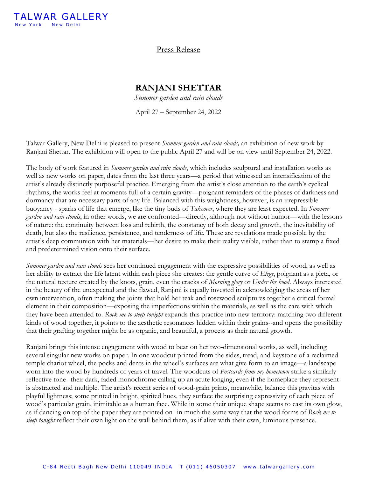

## Press Release

## **RANJANI SHETTAR**

*Summer garden and rain clouds*

April 27 – September 24, 2022

Talwar Gallery, New Delhi is pleased to present *Summer garden and rain clouds,* an exhibition of new work by Ranjani Shettar. The exhibition will open to the public April 27 and will be on view until September 24, 2022.

The body of work featured in *Summer garden and rain clouds*, which includes sculptural and installation works as well as new works on paper, dates from the last three years––a period that witnessed an intensification of the artist's already distinctly purposeful practice. Emerging from the artist's close attention to the earth's cyclical rhythms, the works feel at moments full of a certain gravity––poignant reminders of the phases of darkness and dormancy that are necessary parts of any life. Balanced with this weightiness, however, is an irrepressible buoyancy - sparks of life that emerge, like the tiny buds of *Takeover*, where they are least expected. In *Summer garden and rain clouds*, in other words, we are confronted––directly, although not without humor––with the lessons of nature: the continuity between loss and rebirth, the constancy of both decay and growth, the inevitability of death, but also the resilience, persistence, and tenderness of life. These are revelations made possible by the artist's deep communion with her materials––her desire to make their reality visible, rather than to stamp a fixed and predetermined vision onto their surface.

*Summer garden and rain clouds* sees her continued engagement with the expressive possibilities of wood, as well as her ability to extract the life latent within each piece she creates: the gentle curve of *Elegy*, poignant as a pieta, or the natural texture created by the knots, grain, even the cracks of *Morning glory* or *Under the hood*. Always interested in the beauty of the unexpected and the flawed, Ranjani is equally invested in acknowledging the areas of her own intervention, often making the joints that hold her teak and rosewood sculptures together a critical formal element in their composition––exposing the imperfections within the materials, as well as the care with which they have been attended to. *Rock me to sleep tonight* expands this practice into new territory: matching two different kinds of wood together, it points to the aesthetic resonances hidden within their grains--and opens the possibility that their grafting together might be as organic, and beautiful, a process as their natural growth.

Ranjani brings this intense engagement with wood to bear on her two-dimensional works, as well, including several singular new works on paper. In one woodcut printed from the sides, tread, and keystone of a reclaimed temple chariot wheel, the pocks and dents in the wheel's surfaces are what give form to an image––a landscape worn into the wood by hundreds of years of travel. The woodcuts of *Postcards from my hometown* strike a similarly reflective tone--their dark, faded monochrome calling up an acute longing, even if the homeplace they represent is abstracted and multiple. The artist's recent series of wood-grain prints, meanwhile, balance this gravitas with playful lightness; some printed in bright, spirited hues, they surface the surprising expressivity of each piece of wood's particular grain, inimitable as a human face. While in some their unique shape seems to cast its own glow, as if dancing on top of the paper they are printed on--in much the same way that the wood forms of *Rock me to sleep tonight* reflect their own light on the wall behind them, as if alive with their own, luminous presence.